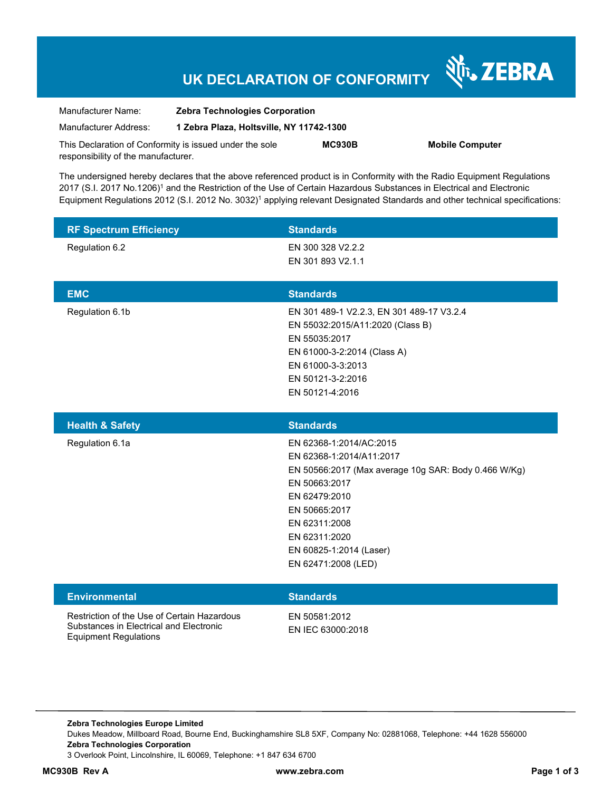# **UK DECLARATION OF CONFORMITY**

Nr. ZEBRA

| Manufacturer Name:                                      | <b>Zebra Technologies Corporation</b><br>1 Zebra Plaza, Holtsville, NY 11742-1300 |               |                        |
|---------------------------------------------------------|-----------------------------------------------------------------------------------|---------------|------------------------|
| Manufacturer Address:                                   |                                                                                   |               |                        |
| This Declaration of Conformity is issued under the sole |                                                                                   | <b>MC930B</b> | <b>Mobile Computer</b> |
| responsibility of the manufacturer.                     |                                                                                   |               |                        |

The undersigned hereby declares that the above referenced product is in Conformity with the Radio Equipment Regulations 2017 (S.I. 2017 No.1206)<sup>1</sup> and the Restriction of the Use of Certain Hazardous Substances in Electrical and Electronic Equipment Regulations 2012 (S.I. 2012 No. 3032)<sup>1</sup> applying relevant Designated Standards and other technical specifications:

| <b>RF Spectrum Efficiency</b>                                                                                          | <b>Standards</b>                                                                                                                                                                                                                                   |
|------------------------------------------------------------------------------------------------------------------------|----------------------------------------------------------------------------------------------------------------------------------------------------------------------------------------------------------------------------------------------------|
| Regulation 6.2                                                                                                         | EN 300 328 V2.2.2<br>EN 301 893 V2.1.1                                                                                                                                                                                                             |
| <b>EMC</b>                                                                                                             | <b>Standards</b>                                                                                                                                                                                                                                   |
| Regulation 6.1b                                                                                                        | EN 301 489-1 V2.2.3, EN 301 489-17 V3.2.4<br>EN 55032:2015/A11:2020 (Class B)<br>EN 55035:2017<br>EN 61000-3-2:2014 (Class A)<br>EN 61000-3-3:2013<br>EN 50121-3-2:2016<br>EN 50121-4:2016                                                         |
| <b>Health &amp; Safety</b>                                                                                             | <b>Standards</b>                                                                                                                                                                                                                                   |
| Regulation 6.1a                                                                                                        | EN 62368-1:2014/AC:2015<br>EN 62368-1:2014/A11:2017<br>EN 50566:2017 (Max average 10g SAR: Body 0.466 W/Kg)<br>EN 50663:2017<br>EN 62479:2010<br>EN 50665:2017<br>EN 62311:2008<br>EN 62311:2020<br>EN 60825-1:2014 (Laser)<br>EN 62471:2008 (LED) |
| <b>Environmental</b>                                                                                                   | <b>Standards</b>                                                                                                                                                                                                                                   |
| Restriction of the Use of Certain Hazardous<br>Substances in Electrical and Electronic<br><b>Equipment Regulations</b> | EN 50581:2012<br>EN IEC 63000:2018                                                                                                                                                                                                                 |

**Zebra Technologies Europe Limited**  Dukes Meadow, Millboard Road, Bourne End, Buckinghamshire SL8 5XF, Company No: 02881068, Telephone: +44 1628 556000 **Zebra Technologies Corporation**  3 Overlook Point, Lincolnshire, IL 60069, Telephone: +1 847 634 6700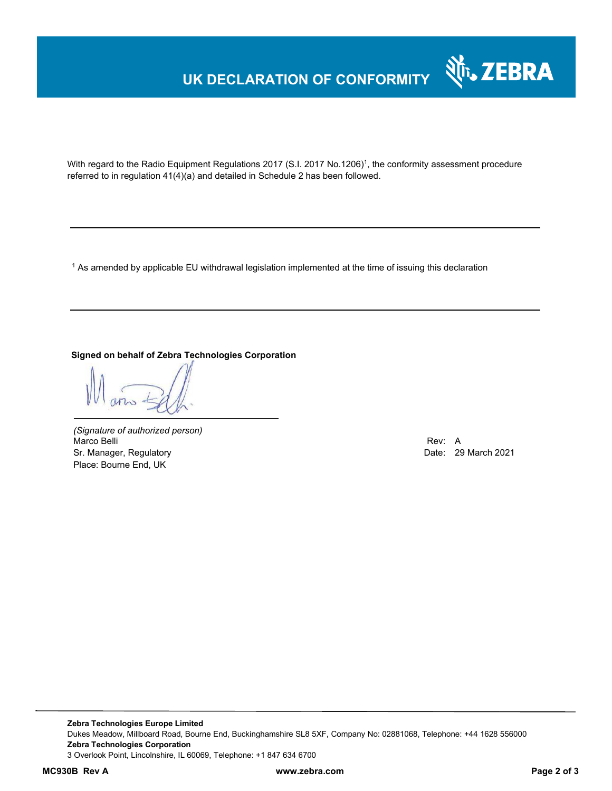# **UK DECLARATION OF CONFORMITY**



With regard to the Radio Equipment Regulations 2017 (S.I. 2017 No.1206)<sup>1</sup>, the conformity assessment procedure referred to in regulation 41(4)(a) and detailed in Schedule 2 has been followed.

 $^{\rm 1}$  As amended by applicable EU withdrawal legislation implemented at the time of issuing this declaration

#### **Signed on behalf of Zebra Technologies Corporation**

*(Signature of authorized person)* Marco Belli Rev: A Sr. Manager, Regulatory **Date: 29 March 2021** Place: Bourne End, UK